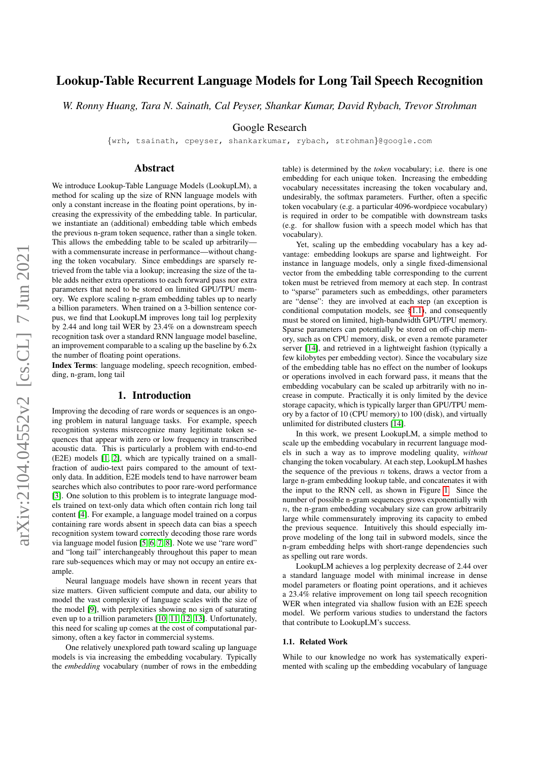# Lookup-Table Recurrent Language Models for Long Tail Speech Recognition

*W. Ronny Huang, Tara N. Sainath, Cal Peyser, Shankar Kumar, David Rybach, Trevor Strohman*

Google Research

{wrh, tsainath, cpeyser, shankarkumar, rybach, strohman}@google.com

# Abstract

We introduce Lookup-Table Language Models (LookupLM), a method for scaling up the size of RNN language models with only a constant increase in the floating point operations, by increasing the expressivity of the embedding table. In particular, we instantiate an (additional) embedding table which embeds the previous n-gram token sequence, rather than a single token. This allows the embedding table to be scaled up arbitrarily with a commensurate increase in performance—without changing the token vocabulary. Since embeddings are sparsely retrieved from the table via a lookup; increasing the size of the table adds neither extra operations to each forward pass nor extra parameters that need to be stored on limited GPU/TPU memory. We explore scaling n-gram embedding tables up to nearly a billion parameters. When trained on a 3-billion sentence corpus, we find that LookupLM improves long tail log perplexity by 2.44 and long tail WER by 23.4% on a downstream speech recognition task over a standard RNN language model baseline, an improvement comparable to a scaling up the baseline by 6.2x the number of floating point operations.

Index Terms: language modeling, speech recognition, embedding, n-gram, long tail

# 1. Introduction

Improving the decoding of rare words or sequences is an ongoing problem in natural language tasks. For example, speech recognition systems misrecognize many legitimate token sequences that appear with zero or low frequency in transcribed acoustic data. This is particularly a problem with end-to-end (E2E) models [\[1,](#page-4-0) [2\]](#page-4-1), which are typically trained on a smallfraction of audio-text pairs compared to the amount of textonly data. In addition, E2E models tend to have narrower beam searches which also contributes to poor rare-word performance [\[3\]](#page-4-2). One solution to this problem is to integrate language models trained on text-only data which often contain rich long tail content [\[4\]](#page-4-3). For example, a language model trained on a corpus containing rare words absent in speech data can bias a speech recognition system toward correctly decoding those rare words via language model fusion [\[5,](#page-4-4) [6,](#page-4-5) [7,](#page-4-6) [8\]](#page-4-7). Note we use "rare word" and "long tail" interchangeably throughout this paper to mean rare sub-sequences which may or may not occupy an entire example.

Neural language models have shown in recent years that size matters. Given sufficient compute and data, our ability to model the vast complexity of language scales with the size of the model [\[9\]](#page-4-8), with perplexities showing no sign of saturating even up to a trillion parameters [\[10,](#page-4-9) [11,](#page-4-10) [12,](#page-4-11) [13\]](#page-4-12). Unfortunately, this need for scaling up comes at the cost of computational parsimony, often a key factor in commercial systems.

One relatively unexplored path toward scaling up language models is via increasing the embedding vocabulary. Typically the *embedding* vocabulary (number of rows in the embedding

table) is determined by the *token* vocabulary; i.e. there is one embedding for each unique token. Increasing the embedding vocabulary necessitates increasing the token vocabulary and, undesirably, the softmax parameters. Further, often a specific token vocabulary (e.g. a particular 4096-wordpiece vocabulary) is required in order to be compatible with downstream tasks (e.g. for shallow fusion with a speech model which has that vocabulary).

Yet, scaling up the embedding vocabulary has a key advantage: embedding lookups are sparse and lightweight. For instance in language models, only a single fixed-dimensional vector from the embedding table corresponding to the current token must be retrieved from memory at each step. In contrast to "sparse" parameters such as embeddings, other parameters are "dense": they are involved at each step (an exception is conditional computation models, see [§1.1\)](#page-0-0), and consequently must be stored on limited, high-bandwidth GPU/TPU memory. Sparse parameters can potentially be stored on off-chip memory, such as on CPU memory, disk, or even a remote parameter server [\[14\]](#page-4-13), and retrieved in a lightweight fashion (typically a few kilobytes per embedding vector). Since the vocabulary size of the embedding table has no effect on the number of lookups or operations involved in each forward pass, it means that the embedding vocabulary can be scaled up arbitrarily with no increase in compute. Practically it is only limited by the device storage capacity, which is typically larger than GPU/TPU memory by a factor of 10 (CPU memory) to 100 (disk), and virtually unlimited for distributed clusters [\[14\]](#page-4-13).

In this work, we present LookupLM, a simple method to scale up the embedding vocabulary in recurrent language models in such a way as to improve modeling quality, *without* changing the token vocabulary. At each step, LookupLM hashes the sequence of the previous  $n$  tokens, draws a vector from a large n-gram embedding lookup table, and concatenates it with the input to the RNN cell, as shown in Figure [1.](#page-1-0) Since the number of possible n-gram sequences grows exponentially with  $n$ , the n-gram embedding vocabulary size can grow arbitrarily large while commensurately improving its capacity to embed the previous sequence. Intuitively this should especially improve modeling of the long tail in subword models, since the n-gram embedding helps with short-range dependencies such as spelling out rare words.

LookupLM achieves a log perplexity decrease of 2.44 over a standard language model with minimal increase in dense model parameters or floating point operations, and it achieves a 23.4% relative improvement on long tail speech recognition WER when integrated via shallow fusion with an E2E speech model. We perform various studies to understand the factors that contribute to LookupLM's success.

### <span id="page-0-0"></span>1.1. Related Work

While to our knowledge no work has systematically experimented with scaling up the embedding vocabulary of language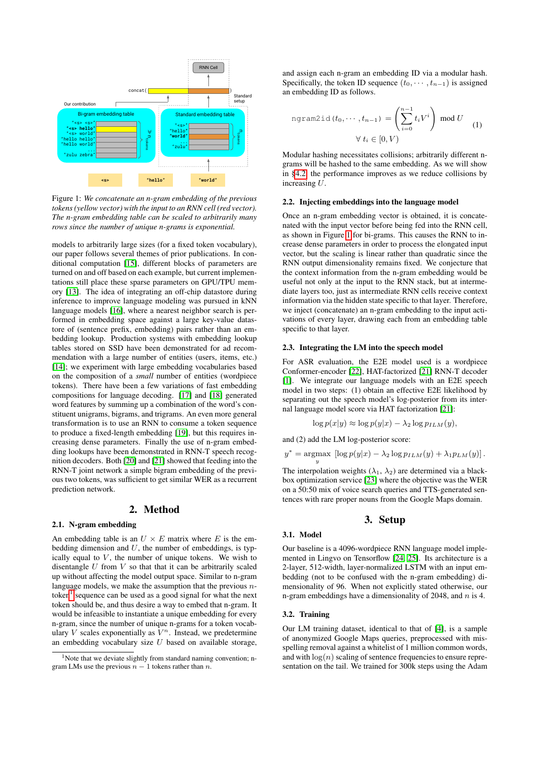<span id="page-1-0"></span>

Figure 1: *We concatenate an n-gram embedding of the previous tokens (yellow vector) with the input to an RNN cell (red vector). The n-gram embedding table can be scaled to arbitrarily many rows since the number of unique n-grams is exponential.*

models to arbitrarily large sizes (for a fixed token vocabulary), our paper follows several themes of prior publications. In conditional computation [\[15\]](#page-4-14), different blocks of parameters are turned on and off based on each example, but current implementations still place these sparse parameters on GPU/TPU memory [\[13\]](#page-4-12). The idea of integrating an off-chip datastore during inference to improve language modeling was pursued in kNN language models [\[16\]](#page-4-15), where a nearest neighbor search is performed in embedding space against a large key-value datastore of (sentence prefix, embedding) pairs rather than an embedding lookup. Production systems with embedding lookup tables stored on SSD have been demonstrated for ad recommendation with a large number of entities (users, items, etc.) [\[14\]](#page-4-13); we experiment with large embedding vocabularies based on the composition of a *small* number of entities (wordpiece tokens). There have been a few variations of fast embedding compositions for language decoding. [\[17\]](#page-4-16) and [\[18\]](#page-4-17) generated word features by summing up a combination of the word's constituent unigrams, bigrams, and trigrams. An even more general transformation is to use an RNN to consume a token sequence to produce a fixed-length embedding [\[19\]](#page-4-18), but this requires increasing dense parameters. Finally the use of n-gram embedding lookups have been demonstrated in RNN-T speech recognition decoders. Both [\[20\]](#page-4-19) and [\[21\]](#page-4-20) showed that feeding into the RNN-T joint network a simple bigram embedding of the previous two tokens, was sufficient to get similar WER as a recurrent prediction network.

# 2. Method

#### 2.1. N-gram embedding

An embedding table is an  $U \times E$  matrix where E is the embedding dimension and  $U$ , the number of embeddings, is typically equal to  $V$ , the number of unique tokens. We wish to disentangle  $U$  from  $V$  so that that it can be arbitrarily scaled up without affecting the model output space. Similar to n-gram language models, we make the assumption that the previous  $n$ token $<sup>1</sup>$  $<sup>1</sup>$  $<sup>1</sup>$  sequence can be used as a good signal for what the next</sup> token should be, and thus desire a way to embed that n-gram. It would be infeasible to instantiate a unique embedding for every n-gram, since the number of unique n-grams for a token vocabulary V scales exponentially as  $\overline{V}^n$ . Instead, we predetermine an embedding vocabulary size  $U$  based on available storage,

and assign each n-gram an embedding ID via a modular hash. Specifically, the token ID sequence  $(t_0, \dots, t_{n-1})$  is assigned an embedding ID as follows.

$$
\text{normal}(\mathbf{t}_0, \cdots, \mathbf{t}_{n-1}) = \left(\sum_{i=0}^{n-1} t_i V^i\right) \text{ mod } U \quad (1)
$$

$$
\forall \, t_i \in [0, V)
$$

Advantages: Modular hashing necessitates collisions; arbitrarily different ngrams will be hashed to the same embedding. As we will show in [§4.2,](#page-3-0) the performance improves as we reduce collisions by increasing U.

### 2.2. Injecting embeddings into the language model

vector, but the scaling is linear rather than quadratic since the Once an n-gram embedding vector is obtained, it is concatenated with the input vector before being fed into the RNN cell, as shown in Figure [1](#page-1-0) for bi-grams. This causes the RNN to increase dense parameters in order to process the elongated input RNN output dimensionality remains fixed. We conjecture that the context information from the n-gram embedding would be useful not only at the input to the RNN stack, but at intermediate layers too, just as intermediate RNN cells receive context information via the hidden state specific to that layer. Therefore, we inject (concatenate) an n-gram embedding to the input activations of every layer, drawing each from an embedding table specific to that layer.

### 2.3. Integrating the LM into the speech model

For ASR evaluation, the E2E model used is a wordpiece Conformer-encoder [\[22\]](#page-4-21), HAT-factorized [\[21\]](#page-4-20) RNN-T decoder [\[1\]](#page-4-0). We integrate our language models with an E2E speech model in two steps: (1) obtain an effective E2E likelihood by separating out the speech model's log-posterior from its internal language model score via HAT factorization [\[21\]](#page-4-20):

$$
\log p(x|y) \approx \log p(y|x) - \lambda_2 \log p_{ILM}(y),
$$

and (2) add the LM log-posterior score:

$$
y^* = \underset{y}{\text{argmax}} \left[ \log p(y|x) - \lambda_2 \log p_{ILM}(y) + \lambda_1 p_{LM}(y) \right].
$$

The interpolation weights ( $\lambda_1$ ,  $\lambda_2$ ) are determined via a blackbox optimization service [\[23\]](#page-4-22) where the objective was the WER on a 50:50 mix of voice search queries and TTS-generated sentences with rare proper nouns from the Google Maps domain.

### 3. Setup

#### <span id="page-1-2"></span>3.1. Model

Our baseline is a 4096-wordpiece RNN language model implemented in Lingvo on Tensorflow [\[24,](#page-4-23) [25\]](#page-4-24). Its architecture is a 2-layer, 512-width, layer-normalized LSTM with an input embedding (not to be confused with the n-gram embedding) dimensionality of 96. When not explicitly stated otherwise, our n-gram embeddings have a dimensionality of 2048, and  $n$  is 4.

### 3.2. Training

Our LM training dataset, identical to that of [\[4\]](#page-4-3), is a sample of anonymized Google Maps queries, preprocessed with misspelling removal against a whitelist of 1 million common words, and with  $log(n)$  scaling of sentence frequencies to ensure representation on the tail. We trained for 300k steps using the Adam

<span id="page-1-1"></span> $1$ Note that we deviate slightly from standard naming convention; ngram LMs use the previous  $n - 1$  tokens rather than n.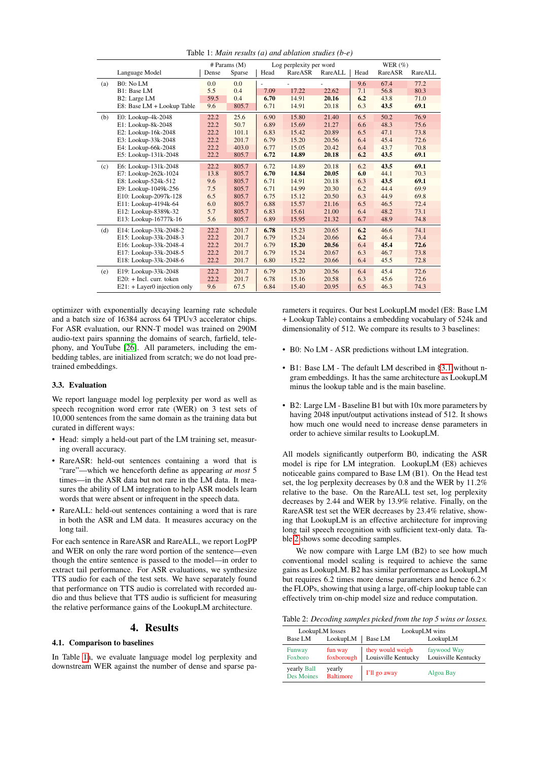<span id="page-2-0"></span>

|     |                                | $#$ Params $(M)$ |        | Log perplexity per word |         |                | WER $(\%)$ |         |         |
|-----|--------------------------------|------------------|--------|-------------------------|---------|----------------|------------|---------|---------|
|     | Language Model                 | Dense            | Sparse | Head                    | RareASR | RareALL        | Head       | RareASR | RareALL |
| (a) | B0: No LM                      | 0.0              | 0.0    |                         |         | $\overline{a}$ | 9.6        | 67.4    | 77.2    |
|     | B1: Base LM                    | 5.5              | 0.4    | 7.09                    | 17.22   | 22.62          | 7.1        | 56.8    | 80.3    |
|     | B2: Large LM                   | 59.5             | 0.4    | 6.70                    | 14.91   | 20.16          | 6.2        | 43.8    | 71.0    |
|     | E8: Base LM + Lookup Table     | 9.6              | 805.7  | 6.71                    | 14.91   | 20.18          | 6.3        | 43.5    | 69.1    |
| (b) | E0: Lookup-4k-2048             | 22.2             | 25.6   | 6.90                    | 15.80   | 21.40          | 6.5        | 50.2    | 76.9    |
|     | E1: Lookup-8k-2048             | 22.2             | 50.7   | 6.89                    | 15.69   | 21.27          | 6.6        | 48.3    | 75.6    |
|     | E2: Lookup-16k-2048            | 22.2             | 101.1  | 6.83                    | 15.42   | 20.89          | 6.5        | 47.1    | 73.8    |
|     | E3: Lookup-33k-2048            | 22.2             | 201.7  | 6.79                    | 15.20   | 20.56          | 6.4        | 45.4    | 72.6    |
|     | E4: Lookup-66k-2048            | 22.2             | 403.0  | 6.77                    | 15.05   | 20.42          | 6.4        | 43.7    | 70.8    |
|     | E5: Lookup-131k-2048           | 22.2             | 805.7  | 6.72                    | 14.89   | 20.18          | 6.2        | 43.5    | 69.1    |
| (c) | E6: Lookup-131k-2048           | 22.2             | 805.7  | 6.72                    | 14.89   | 20.18          | 6.2        | 43.5    | 69.1    |
|     | E7: Lookup-262k-1024           | 13.8             | 805.7  | 6.70                    | 14.84   | 20.05          | 6.0        | 44.1    | 70.3    |
|     | E8: Lookup-524k-512            | 9.6              | 805.7  | 6.71                    | 14.91   | 20.18          | 6.3        | 43.5    | 69.1    |
|     | E9: Lookup-1049k-256           | 7.5              | 805.7  | 6.71                    | 14.99   | 20.30          | 6.2        | 44.4    | 69.9    |
|     | E10: Lookup-2097k-128          | 6.5              | 805.7  | 6.75                    | 15.12   | 20.50          | 6.3        | 44.9    | 69.8    |
|     | E11: Lookup-4194k-64           | 6.0              | 805.7  | 6.88                    | 15.57   | 21.16          | 6.5        | 46.5    | 72.4    |
|     | E12: Lookup-8389k-32           | 5.7              | 805.7  | 6.83                    | 15.61   | 21.00          | 6.4        | 48.2    | 73.1    |
|     | E13: Lookup-16777k-16          | 5.6              | 805.7  | 6.89                    | 15.95   | 21.32          | 6.7        | 48.9    | 74.8    |
| (d) | E14: Lookup-33k-2048-2         | 22.2             | 201.7  | 6.78                    | 15.23   | 20.65          | 6.2        | 46.6    | 74.1    |
|     | E15: Lookup-33k-2048-3         | 22.2             | 201.7  | 6.79                    | 15.24   | 20.66          | 6.2        | 46.4    | 73.4    |
|     | E16: Lookup-33k-2048-4         | 22.2             | 201.7  | 6.79                    | 15.20   | 20.56          | 6.4        | 45.4    | 72.6    |
|     | E17: Lookup-33k-2048-5         | 22.2             | 201.7  | 6.79                    | 15.24   | 20.67          | 6.3        | 46.7    | 73.8    |
|     | E18: Lookup-33k-2048-6         | 22.2             | 201.7  | 6.80                    | 15.22   | 20.66          | 6.4        | 45.5    | 72.8    |
| (e) | E19: Lookup-33k-2048           | 22.2             | 201.7  | 6.79                    | 15.20   | 20.56          | 6.4        | 45.4    | 72.6    |
|     | $E20: + Incl.$ curr. token     | 22.2             | 201.7  | 6.78                    | 15.16   | 20.58          | 6.3        | 45.6    | 72.6    |
|     | $E21: + Layer0 injection only$ | 9.6              | 67.5   | 6.84                    | 15.40   | 20.95          | 6.5        | 46.3    | 74.3    |

Table 1: *Main results (a) and ablation studies (b-e)*

optimizer with exponentially decaying learning rate schedule and a batch size of 16384 across 64 TPUv3 accelerator chips. For ASR evaluation, our RNN-T model was trained on 290M audio-text pairs spanning the domains of search, farfield, telephony, and YouTube [\[26\]](#page-4-25). All parameters, including the embedding tables, are initialized from scratch; we do not load pretrained embeddings.

### 3.3. Evaluation

We report language model log perplexity per word as well as speech recognition word error rate (WER) on 3 test sets of 10,000 sentences from the same domain as the training data but curated in different ways:

- Head: simply a held-out part of the LM training set, measuring overall accuracy.
- RareASR: held-out sentences containing a word that is "rare"—which we henceforth define as appearing *at most* 5 times—in the ASR data but not rare in the LM data. It measures the ability of LM integration to help ASR models learn words that were absent or infrequent in the speech data.
- RareALL: held-out sentences containing a word that is rare in both the ASR and LM data. It measures accuracy on the long tail.

For each sentence in RareASR and RareALL, we report LogPP and WER on only the rare word portion of the sentence—even though the entire sentence is passed to the model—in order to extract tail performance. For ASR evaluations, we synthesize TTS audio for each of the test sets. We have separately found that performance on TTS audio is correlated with recorded audio and thus believe that TTS audio is sufficient for measuring the relative performance gains of the LookupLM architecture.

# 4. Results

### 4.1. Comparison to baselines

In Table [1a](#page-2-0), we evaluate language model log perplexity and downstream WER against the number of dense and sparse parameters it requires. Our best LookupLM model (E8: Base LM + Lookup Table) contains a embedding vocabulary of 524k and dimensionality of 512. We compare its results to 3 baselines:

- B0: No LM ASR predictions without LM integration.
- B1: Base LM The default LM described in [§3.1](#page-1-2) without ngram embeddings. It has the same architecture as LookupLM minus the lookup table and is the main baseline.
- B2: Large LM Baseline B1 but with 10x more parameters by having 2048 input/output activations instead of 512. It shows how much one would need to increase dense parameters in order to achieve similar results to LookupLM.

All models significantly outperform B0, indicating the ASR model is ripe for LM integration. LookupLM (E8) achieves noticeable gains compared to Base LM (B1). On the Head test set, the log perplexity decreases by 0.8 and the WER by 11.2% relative to the base. On the RareALL test set, log perplexity decreases by 2.44 and WER by 13.9% relative. Finally, on the RareASR test set the WER decreases by 23.4% relative, showing that LookupLM is an effective architecture for improving long tail speech recognition with sufficient text-only data. Table [2](#page-2-1) shows some decoding samples.

We now compare with Large LM (B2) to see how much conventional model scaling is required to achieve the same gains as LookupLM. B2 has similar performance as LookupLM but requires 6.2 times more dense parameters and hence  $6.2 \times$ the FLOPs, showing that using a large, off-chip lookup table can effectively trim on-chip model size and reduce computation.

<span id="page-2-1"></span>Table 2: *Decoding samples picked from the top 5 wins or losses.*

|                                  | LookupLM losses            | LookupLM wins                           |                                    |  |  |
|----------------------------------|----------------------------|-----------------------------------------|------------------------------------|--|--|
| Base LM                          | LookupLM                   | <b>Base LM</b>                          | LookupLM                           |  |  |
| Funway<br>Foxboro                | fun way<br>foxborough      | they would weigh<br>Louisville Kentucky | faywood Way<br>Louisville Kentucky |  |  |
| yearly Ball<br><b>Des Moines</b> | yearly<br><b>Baltimore</b> | I'll go away                            | Algoa Bay                          |  |  |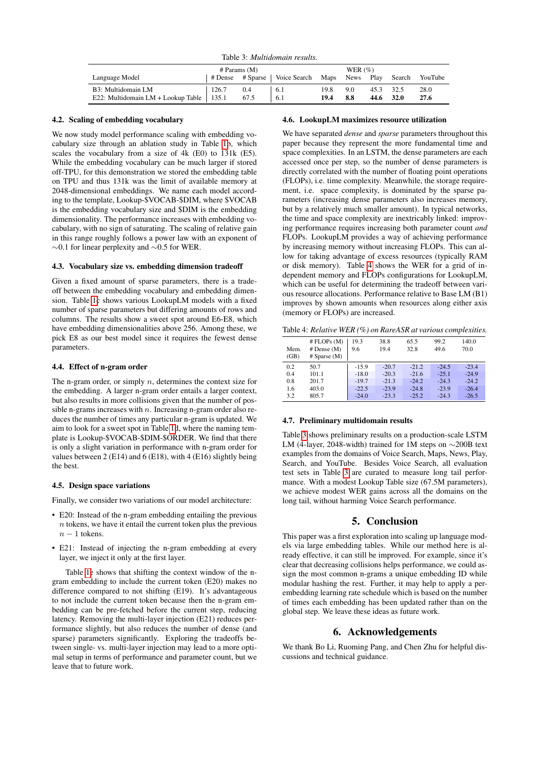Table 3: *Multidomain results.*

<span id="page-3-2"></span>

|                                      | $#$ Params $(M)$ |      |                         | WER $(\%)$ |      |      |               |                |
|--------------------------------------|------------------|------|-------------------------|------------|------|------|---------------|----------------|
| Language Model                       | # Dense          |      | # Sparse   Voice Search | Maps       | News | Play |               | Search YouTube |
| B3: Multidomain LM                   | 126.7            | 0.4  | -6.1                    | 19.8       | 9.0  |      | 45.3 32.5     | 28.0           |
| E22: Multidomain $LM + Lookup$ Table | 135.1            | 67.5 | 6.1                     | 19.4       | 8.8  |      | $44.6$ $32.0$ | 27.6           |

### <span id="page-3-0"></span>4.2. Scaling of embedding vocabulary

We now study model performance scaling with embedding vocabulary size through an ablation study in Table [1b](#page-2-0), which scales the vocabulary from a size of 4k (E0) to 131k (E5). While the embedding vocabulary can be much larger if stored off-TPU, for this demonstration we stored the embedding table on TPU and thus 131k was the limit of available memory at 2048-dimensional embeddings. We name each model according to the template, Lookup-\$VOCAB-\$DIM, where \$VOCAB is the embedding vocabulary size and \$DIM is the embedding dimensionality. The performance increases with embedding vocabulary, with no sign of saturating. The scaling of relative gain in this range roughly follows a power law with an exponent of ∼0.1 for linear perplexity and ∼0.5 for WER.

### 4.3. Vocabulary size vs. embedding dimension tradeoff

Given a fixed amount of sparse parameters, there is a tradeoff between the embedding vocabulary and embedding dimension. Table [1c](#page-2-0) shows various LookupLM models with a fixed number of sparse parameters but differing amounts of rows and columns. The results show a sweet spot around E6-E8, which have embedding dimensionalities above 256. Among these, we pick E8 as our best model since it requires the fewest dense parameters.

### 4.4. Effect of n-gram order

The n-gram order, or simply  $n$ , determines the context size for the embedding. A larger n-gram order entails a larger context, but also results in more collisions given that the number of possible n-grams increases with  $n$ . Increasing n-gram order also reduces the number of times any particular n-gram is updated. We aim to look for a sweet spot in Table [1d](#page-2-0), where the naming template is Lookup-\$VOCAB-\$DIM-\$ORDER. We find that there is only a slight variation in performance with n-gram order for values between 2 (E14) and 6 (E18), with 4 (E16) slightly being the best.

#### 4.5. Design space variations

Finally, we consider two variations of our model architecture:

- E20: Instead of the n-gram embedding entailing the previous  $n$  tokens, we have it entail the current token plus the previous  $n-1$  tokens.
- E21: Instead of injecting the n-gram embedding at every layer, we inject it only at the first layer.

Table [1e](#page-2-0) shows that shifting the context window of the ngram embedding to include the current token (E20) makes no difference compared to not shifting (E19). It's advantageous to not include the current token because then the n-gram embedding can be pre-fetched before the current step, reducing latency. Removing the multi-layer injection (E21) reduces performance slightly, but also reduces the number of dense (and sparse) parameters significantly. Exploring the tradeoffs between single- vs. multi-layer injection may lead to a more optimal setup in terms of performance and parameter count, but we leave that to future work.

### 4.6. LookupLM maximizes resource utilization

We have separated *dense* and *sparse* parameters throughout this paper because they represent the more fundamental time and space complexities. In an LSTM, the dense parameters are each accessed once per step, so the number of dense parameters is directly correlated with the number of floating point operations (FLOPs), i.e. time complexity. Meanwhile, the storage requirement, i.e. space complexity, is dominated by the sparse parameters (increasing dense parameters also increases memory, but by a relatively much smaller amount). In typical networks, the time and space complexity are inextricably linked: improving performance requires increasing both parameter count *and* FLOPs. LookupLM provides a way of achieving performance by increasing memory without increasing FLOPs. This can allow for taking advantage of excess resources (typically RAM or disk memory). Table [4](#page-3-1) shows the WER for a grid of independent memory and FLOPs configurations for LookupLM, which can be useful for determining the tradeoff between various resource allocations. Performance relative to Base LM (B1) improves by shown amounts when resources along either axis (memory or FLOPs) are increased.

<span id="page-3-1"></span>Table 4: *Relative WER (%) on RareASR at various complexities.*

| Mem.<br>(GB) | # FLOPs (M)<br>$#$ Dense $(M)$<br>$#$ Sparse $(M)$ | 19.3<br>9.6 | 38.8<br>19.4 | 65.5<br>32.8 | 99.2<br>49.6 | 140.0<br>70.0 |
|--------------|----------------------------------------------------|-------------|--------------|--------------|--------------|---------------|
| 0.2          | 50.7                                               | $-15.9$     | $-20.7$      | $-21.2$      | $-24.5$      | $-23.4$       |
| 0.4          | 101.1                                              | $-18.0$     | $-20.3$      | $-21.6$      | $-25.1$      | $-24.9$       |
| 0.8          | 201.7                                              | $-19.7$     | $-21.3$      | $-24.2$      | $-24.3$      | $-24.2$       |
| 1.6          | 403.0                                              | $-22.5$     | $-23.9$      | $-24.8$      | $-23.9$      | $-26.4$       |
| 3.2          | 805.7                                              | $-24.0$     | $-23.3$      | $-25.2$      | $-24.3$      | $-26.5$       |

### 4.7. Preliminary multidomain results

Table [3](#page-3-2) shows preliminary results on a production-scale LSTM LM (4-layer, 2048-width) trained for 1M steps on ∼200B text examples from the domains of Voice Search, Maps, News, Play, Search, and YouTube. Besides Voice Search, all evaluation test sets in Table [3](#page-3-2) are curated to measure long tail performance. With a modest Lookup Table size (67.5M parameters), we achieve modest WER gains across all the domains on the long tail, without harming Voice Search performance.

### 5. Conclusion

This paper was a first exploration into scaling up language models via large embedding tables. While our method here is already effective, it can still be improved. For example, since it's clear that decreasing collisions helps performance, we could assign the most common n-grams a unique embedding ID while modular hashing the rest. Further, it may help to apply a perembedding learning rate schedule which is based on the number of times each embedding has been updated rather than on the global step. We leave these ideas as future work.

# 6. Acknowledgements

We thank Bo Li, Ruoming Pang, and Chen Zhu for helpful discussions and technical guidance.